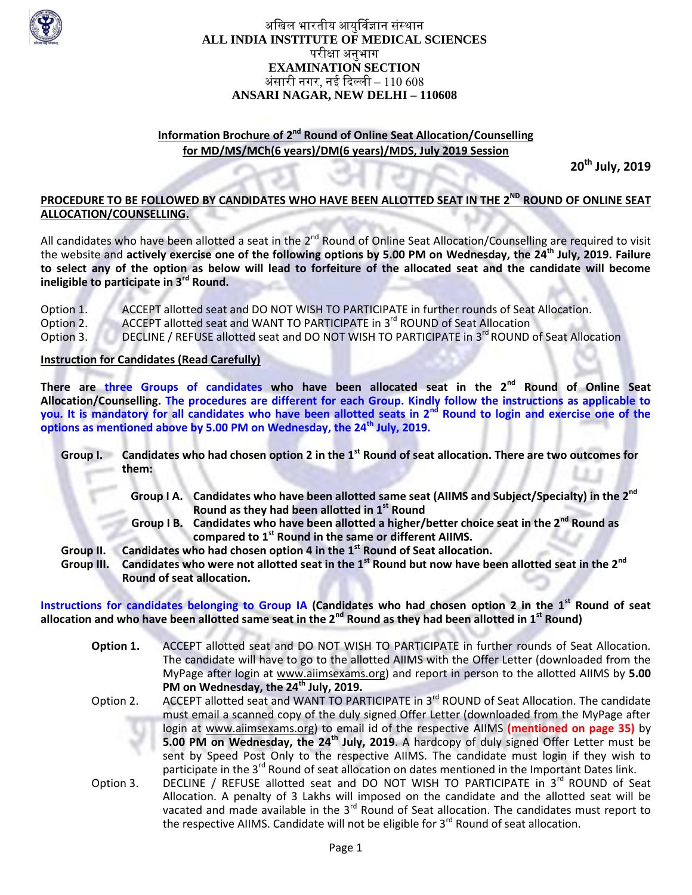

## अखिल भारतीय आयुर्विज्ञान संस्थान **ALL INDIA INSTITUTE OF MEDICAL SCIENCES** परीक्षा अनुभाग **EXAMINATION SECTION** अंसारी नगर, नई दिल्ली –  $110\,608$ **ANSARI NAGAR, NEW DELHI – 110608**

# **Information Brochure of 2<sup>nd</sup> Round of Online Seat Allocation/Counselling for MD/MS/MCh(6 years)/DM(6 years)/MDS, July 2019 Session**

**20th July, 2019**

## **PROCEDURE TO BE FOLLOWED BY CANDIDATES WHO HAVE BEEN ALLOTTED SEAT IN THE 2<sup>ND</sup> ROUND OF ONLINE SEAT ALLOCATION/COUNSELLING.**

All candidates who have been allotted a seat in the 2<sup>nd</sup> Round of Online Seat Allocation/Counselling are required to visit the website and **actively exercise one of the following options by 5.00 PM on Wednesday, the 24th July, 2019. Failure to select any of the option as below will lead to forfeiture of the allocated seat and the candidate will become ineligible to participate in 3rd Round.**

Option 1. ACCEPT allotted seat and DO NOT WISH TO PARTICIPATE in further rounds of Seat Allocation.<br>Option 2. ACCEPT allotted seat and WANT TO PARTICIPATE in 3<sup>rd</sup> ROUND of Seat Allocation Option 2. ACCEPT allotted seat and WANT TO PARTICIPATE in 3<sup>rd</sup> ROUND of Seat Allocation Option 3. DECLINE / REFUSE allotted seat and DO NOT WISH TO PARTICIPATE in 3<sup>rd</sup> ROUND of Seat Allocation

#### **Instruction for Candidates (Read Carefully)**

**There are three Groups of candidates who have been allocated seat in the 2nd Round of Online Seat Allocation/Counselling. The procedures are different for each Group. Kindly follow the instructions as applicable to you. It is mandatory for all candidates who have been allotted seats in 2nd Round to login and exercise one of the options as mentioned above by 5.00 PM on Wednesday, the 24th July, 2019.**

- **Group I. Candidates who had chosen option 2 in the 1st Round of seat allocation. There are two outcomes for them:** 
	- **Group I A. Candidates who have been allotted same seat (AIIMS and Subject/Specialty) in the 2nd Round as they had been allotted in 1st Round**
	- **Group I B. Candidates who have been allotted a higher/better choice seat in the 2nd Round as compared to 1st Round in the same or different AIIMS.**
- **Group II. Candidates who had chosen option 4 in the 1st Round of Seat allocation.**
- **Group III. Candidates who were not allotted seat in the 1st Round but now have been allotted seat in the 2nd Round of seat allocation.**

**Instructions for candidates belonging to Group IA (Candidates who had chosen option 2 in the 1st Round of seat allocation and who have been allotted same seat in the 2nd Round as they had been allotted in 1st Round)**

- **Option 1.** ACCEPT allotted seat and DO NOT WISH TO PARTICIPATE in further rounds of Seat Allocation. The candidate will have to go to the allotted AIIMS with the Offer Letter (downloaded from the MyPage after login at [www.aiimsexams.org\)](http://www.aiimsexams.org/) and report in person to the allotted AIIMS by **5.00 PM on Wednesday, the 24th July, 2019.**
- Option 2. ACCEPT allotted seat and WANT TO PARTICIPATE in 3<sup>rd</sup> ROUND of Seat Allocation. The candidate must email a scanned copy of the duly signed Offer Letter (downloaded from the MyPage after login at [www.aiimsexams.org\)](http://www.aiimsexams.org/) to email id of the respective AIIMS **(mentioned on page 35)** by **5.00 PM on Wednesday, the 24th July, 2019**. A hardcopy of duly signed Offer Letter must be sent by Speed Post Only to the respective AIIMS. The candidate must login if they wish to participate in the 3<sup>rd</sup> Round of seat allocation on dates mentioned in the Important Dates link.
- Option 3. DECLINE / REFUSE allotted seat and DO NOT WISH TO PARTICIPATE in 3<sup>rd</sup> ROUND of Seat Allocation. A penalty of 3 Lakhs will imposed on the candidate and the allotted seat will be vacated and made available in the  $3<sup>rd</sup>$  Round of Seat allocation. The candidates must report to the respective AIIMS. Candidate will not be eligible for 3<sup>rd</sup> Round of seat allocation.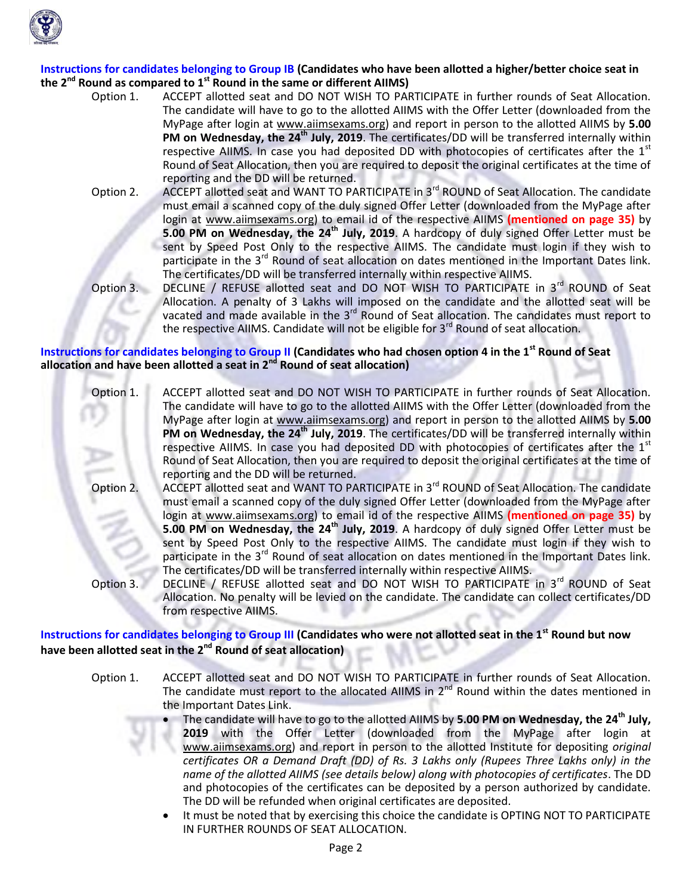

#### **Instructions for candidates belonging to Group IB (Candidates who have been allotted a higher/better choice seat in the 2nd Round as compared to 1st Round in the same or different AIIMS)**

- Option 1. ACCEPT allotted seat and DO NOT WISH TO PARTICIPATE in further rounds of Seat Allocation. The candidate will have to go to the allotted AIIMS with the Offer Letter (downloaded from the MyPage after login at [www.aiimsexams.org\)](http://www.aiimsexams.org/) and report in person to the allotted AIIMS by **5.00 PM on Wednesday, the 24th July, 2019**. The certificates/DD will be transferred internally within respective AIIMS. In case you had deposited DD with photocopies of certificates after the  $1<sup>st</sup>$ Round of Seat Allocation, then you are required to deposit the original certificates at the time of reporting and the DD will be returned.
- Option 2. ACCEPT allotted seat and WANT TO PARTICIPATE in 3<sup>rd</sup> ROUND of Seat Allocation. The candidate must email a scanned copy of the duly signed Offer Letter (downloaded from the MyPage after login at [www.aiimsexams.org\)](http://www.aiimsexams.org/) to email id of the respective AIIMS **(mentioned on page 35)** by **5.00 PM on Wednesday, the 24th July, 2019**. A hardcopy of duly signed Offer Letter must be sent by Speed Post Only to the respective AIIMS. The candidate must login if they wish to participate in the 3<sup>rd</sup> Round of seat allocation on dates mentioned in the Important Dates link. The certificates/DD will be transferred internally within respective AIIMS.
- Option 3. DECLINE / REFUSE allotted seat and DO NOT WISH TO PARTICIPATE in 3<sup>rd</sup> ROUND of Seat Allocation. A penalty of 3 Lakhs will imposed on the candidate and the allotted seat will be vacated and made available in the 3<sup>rd</sup> Round of Seat allocation. The candidates must report to the respective AIIMS. Candidate will not be eligible for 3<sup>rd</sup> Round of seat allocation.

#### **Instructions for candidates belonging to Group II (Candidates who had chosen option 4 in the 1st Round of Seat allocation and have been allotted a seat in 2nd Round of seat allocation)**

- Option 1. ACCEPT allotted seat and DO NOT WISH TO PARTICIPATE in further rounds of Seat Allocation. The candidate will have to go to the allotted AIIMS with the Offer Letter (downloaded from the MyPage after login at [www.aiimsexams.org\)](http://www.aiimsexams.org/) and report in person to the allotted AIIMS by **5.00 PM on Wednesday, the 24th July, 2019**. The certificates/DD will be transferred internally within respective AIIMS. In case you had deposited DD with photocopies of certificates after the  $1<sup>st</sup>$ Round of Seat Allocation, then you are required to deposit the original certificates at the time of reporting and the DD will be returned.
- Option 2. ACCEPT allotted seat and WANT TO PARTICIPATE in 3<sup>rd</sup> ROUND of Seat Allocation. The candidate must email a scanned copy of the duly signed Offer Letter (downloaded from the MyPage after login at [www.aiimsexams.org\)](http://www.aiimsexams.org/) to email id of the respective AIIMS **(mentioned on page 35)** by **5.00 PM on Wednesday, the 24th July, 2019**. A hardcopy of duly signed Offer Letter must be sent by Speed Post Only to the respective AIIMS. The candidate must login if they wish to participate in the 3<sup>rd</sup> Round of seat allocation on dates mentioned in the Important Dates link. The certificates/DD will be transferred internally within respective AIIMS.
- Option 3. DECLINE / REFUSE allotted seat and DO NOT WISH TO PARTICIPATE in 3<sup>rd</sup> ROUND of Seat Allocation. No penalty will be levied on the candidate. The candidate can collect certificates/DD from respective AIIMS.

**Instructions for candidates belonging to Group III (Candidates who were not allotted seat in the 1st Round but now have been allotted seat in the 2nd Round of seat allocation)**

- Option 1. ACCEPT allotted seat and DO NOT WISH TO PARTICIPATE in further rounds of Seat Allocation. The candidate must report to the allocated AIIMS in  $2<sup>nd</sup>$  Round within the dates mentioned in the Important Dates Link.
	- The candidate will have to go to the allotted AIIMS by **5.00 PM on Wednesday, the 24th July, 2019** with the Offer Letter (downloaded from the MyPage after login at [www.aiimsexams.org\)](http://www.aiimsexams.org/) and report in person to the allotted Institute for depositing *original certificates OR a Demand Draft (DD) of Rs. 3 Lakhs only (Rupees Three Lakhs only) in the name of the allotted AIIMS (see details below) along with photocopies of certificates*. The DD and photocopies of the certificates can be deposited by a person authorized by candidate. The DD will be refunded when original certificates are deposited.
	- It must be noted that by exercising this choice the candidate is OPTING NOT TO PARTICIPATE IN FURTHER ROUNDS OF SEAT ALLOCATION.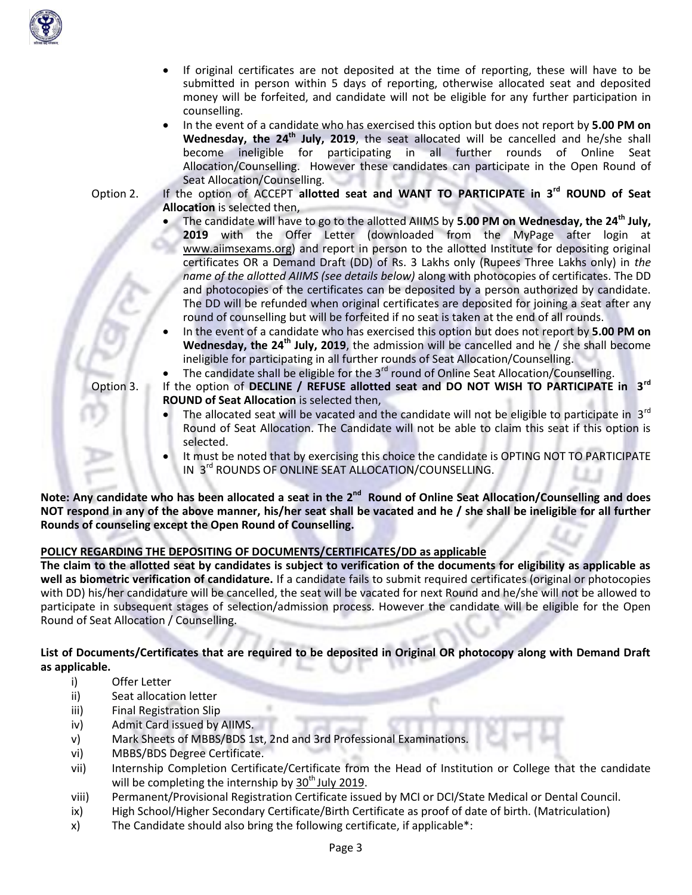

money will be forfeited, and candidate will not be eligible for any further participation in counselling. In the event of a candidate who has exercised this option but does not report by **5.00 PM on**

 If original certificates are not deposited at the time of reporting, these will have to be submitted in person within 5 days of reporting, otherwise allocated seat and deposited

**Wednesday, the 24th July, 2019**, the seat allocated will be cancelled and he/she shall become ineligible for participating in all further rounds of Online Seat Allocation/Counselling. However these candidates can participate in the Open Round of Seat Allocation/Counselling.

Option 2. If the option of ACCEPT **allotted seat and WANT TO PARTICIPATE in 3rd ROUND of Seat Allocation** is selected then,

- The candidate will have to go to the allotted AIIMS by **5.00 PM on Wednesday, the 24th July, 2019** with the Offer Letter (downloaded from the MyPage after login at [www.aiimsexams.org\)](http://www.aiimsexams.org/) and report in person to the allotted Institute for depositing original certificates OR a Demand Draft (DD) of Rs. 3 Lakhs only (Rupees Three Lakhs only) in *the name of the allotted AIIMS (see details below)* along with photocopies of certificates. The DD and photocopies of the certificates can be deposited by a person authorized by candidate. The DD will be refunded when original certificates are deposited for joining a seat after any round of counselling but will be forfeited if no seat is taken at the end of all rounds.
- In the event of a candidate who has exercised this option but does not report by **5.00 PM on Wednesday, the 24th July, 2019**, the admission will be cancelled and he / she shall become ineligible for participating in all further rounds of Seat Allocation/Counselling.
- The candidate shall be eligible for the  $3<sup>rd</sup>$  round of Online Seat Allocation/Counselling.
- Option 3. If the option of **DECLINE / REFUSE allotted seat and DO NOT WISH TO PARTICIPATE in 3rd ROUND of Seat Allocation** is selected then,
	- The allocated seat will be vacated and the candidate will not be eligible to participate in  $3<sup>rd</sup>$ Round of Seat Allocation. The Candidate will not be able to claim this seat if this option is selected.
	- It must be noted that by exercising this choice the candidate is OPTING NOT TO PARTICIPATE IN 3<sup>rd</sup> ROUNDS OF ONLINE SEAT ALLOCATION/COUNSELLING.

Note: Any candidate who has been allocated a seat in the 2<sup>nd</sup> Round of Online Seat Allocation/Counselling and does **NOT respond in any of the above manner, his/her seat shall be vacated and he / she shall be ineligible for all further Rounds of counseling except the Open Round of Counselling.**

# **POLICY REGARDING THE DEPOSITING OF DOCUMENTS/CERTIFICATES/DD as applicable**

**The claim to the allotted seat by candidates is subject to verification of the documents for eligibility as applicable as well as biometric verification of candidature.** If a candidate fails to submit required certificates (original or photocopies with DD) his/her candidature will be cancelled, the seat will be vacated for next Round and he/she will not be allowed to participate in subsequent stages of selection/admission process. However the candidate will be eligible for the Open Round of Seat Allocation / Counselling.

**List of Documents/Certificates that are required to be deposited in Original OR photocopy along with Demand Draft as applicable.**

- i) Offer Letter
- ii) Seat allocation letter
- iii) Final Registration Slip
- iv) Admit Card issued by AIIMS.
- v) Mark Sheets of MBBS/BDS 1st, 2nd and 3rd Professional Examinations.
- vi) MBBS/BDS Degree Certificate.
- vii) Internship Completion Certificate/Certificate from the Head of Institution or College that the candidate will be completing the internship by  $30<sup>th</sup>$  July 2019.
- viii) Permanent/Provisional Registration Certificate issued by MCI or DCI/State Medical or Dental Council.
- ix) High School/Higher Secondary Certificate/Birth Certificate as proof of date of birth. (Matriculation)
- x) The Candidate should also bring the following certificate, if applicable\*: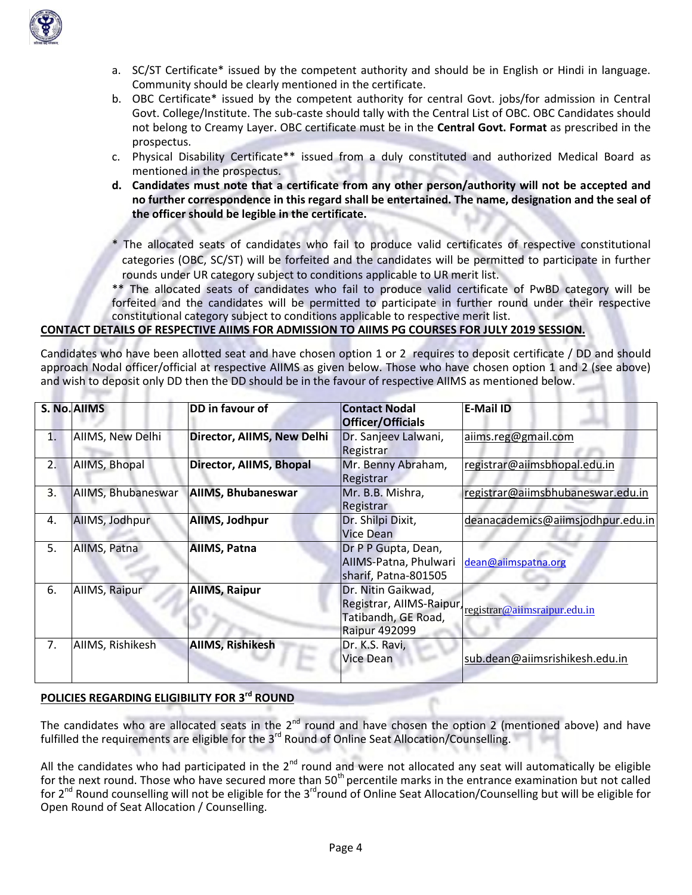

- a. SC/ST Certificate\* issued by the competent authority and should be in English or Hindi in language. Community should be clearly mentioned in the certificate.
- b. OBC Certificate\* issued by the competent authority for central Govt. jobs/for admission in Central Govt. College/Institute. The sub-caste should tally with the Central List of OBC. OBC Candidates should not belong to Creamy Layer. OBC certificate must be in the **Central Govt. Format** as prescribed in the prospectus.
- c. Physical Disability Certificate\*\* issued from a duly constituted and authorized Medical Board as mentioned in the prospectus.
- **d. Candidates must note that a certificate from any other person/authority will not be accepted and no further correspondence in this regard shall be entertained. The name, designation and the seal of the officer should be legible in the certificate.**
- \* The allocated seats of candidates who fail to produce valid certificates of respective constitutional categories (OBC, SC/ST) will be forfeited and the candidates will be permitted to participate in further rounds under UR category subject to conditions applicable to UR merit list.
- \*\* The allocated seats of candidates who fail to produce valid certificate of PwBD category will be forfeited and the candidates will be permitted to participate in further round under their respective constitutional category subject to conditions applicable to respective merit list.

## **CONTACT DETAILS OF RESPECTIVE AIIMS FOR ADMISSION TO AIIMS PG COURSES FOR JULY 2019 SESSION.**

Candidates who have been allotted seat and have chosen option 1 or 2 requires to deposit certificate / DD and should approach Nodal officer/official at respective AIIMS as given below. Those who have chosen option 1 and 2 (see above) and wish to deposit only DD then the DD should be in the favour of respective AIIMS as mentioned below.

|    | S. No. AllMS       | DD in favour of            | <b>Contact Nodal</b><br><b>Officer/Officials</b>                                              | <b>E-Mail ID</b>                  |
|----|--------------------|----------------------------|-----------------------------------------------------------------------------------------------|-----------------------------------|
| 1. | AIIMS, New Delhi   | Director, AIIMS, New Delhi | Dr. Sanjeev Lalwani,<br>Registrar                                                             | aiims.reg@gmail.com               |
| 2. | AIIMS, Bhopal      | Director, AllMS, Bhopal    | Mr. Benny Abraham,<br>Registrar                                                               | registrar@aiimsbhopal.edu.in      |
| 3. | AIIMS, Bhubaneswar | <b>AIIMS, Bhubaneswar</b>  | Mr. B.B. Mishra,<br>Registrar                                                                 | registrar@aiimsbhubaneswar.edu.in |
| 4. | AllMS, Jodhpur     | AllMS, Jodhpur             | Dr. Shilpi Dixit,<br><b>Vice Dean</b>                                                         | deanacademics@aiimsjodhpur.edu.in |
| 5. | AIIMS, Patna       | AllMS, Patna               | Dr P P Gupta, Dean,<br>AIIMS-Patna, Phulwari<br>sharif, Patna-801505                          | dean@aiimspatna.org               |
| 6. | AllMS, Raipur      | <b>AllMS, Raipur</b>       | Dr. Nitin Gaikwad,<br>Registrar, AllMS-Raipur,<br>Tatibandh, GE Road,<br><b>Raipur 492099</b> | registrar@aiimsraipur.edu.in      |
| 7. | AIIMS, Rishikesh   | <b>AIIMS, Rishikesh</b>    | Dr. K.S. Ravi,<br>Vice Dean                                                                   | sub.dean@aiimsrishikesh.edu.in    |

# **POLICIES REGARDING ELIGIBILITY FOR 3 rd ROUND**

The candidates who are allocated seats in the  $2^{nd}$  round and have chosen the option 2 (mentioned above) and have fulfilled the requirements are eligible for the 3<sup>rd</sup> Round of Online Seat Allocation/Counselling.

All the candidates who had participated in the  $2^{nd}$  round and were not allocated any seat will automatically be eligible for the next round. Those who have secured more than 50<sup>th</sup> percentile marks in the entrance examination but not called for 2<sup>nd</sup> Round counselling will not be eligible for the 3<sup>rd</sup>round of Online Seat Allocation/Counselling but will be eligible for Open Round of Seat Allocation / Counselling.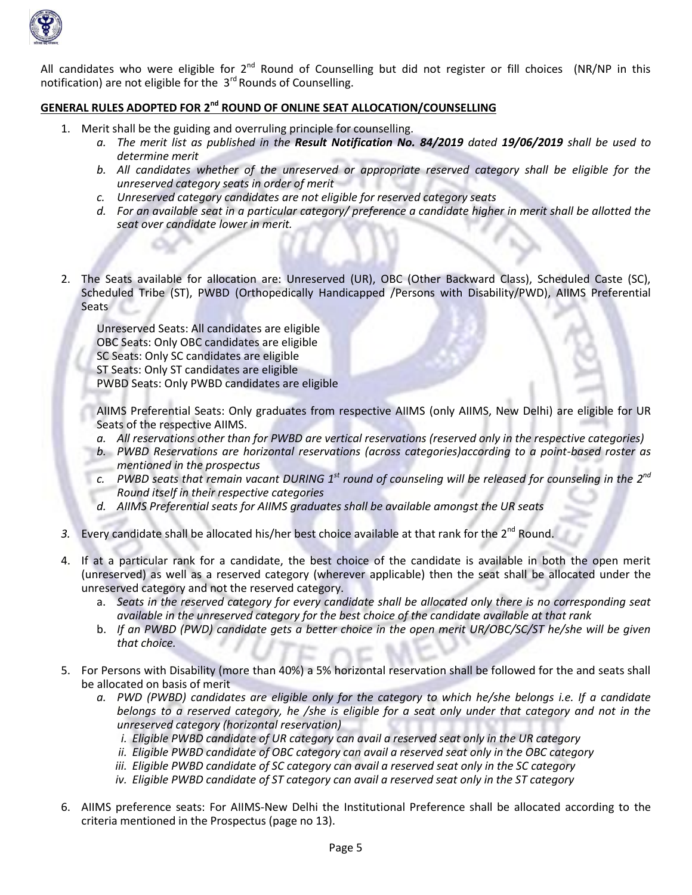

All candidates who were eligible for  $2^{nd}$  Round of Counselling but did not register or fill choices (NR/NP in this notification) are not eligible for the  $3<sup>rd</sup>$  Rounds of Counselling.

# **GENERAL RULES ADOPTED FOR 2 nd ROUND OF ONLINE SEAT ALLOCATION/COUNSELLING**

- 1. Merit shall be the guiding and overruling principle for counselling.
	- *a. The merit list as published in the Result Notification No. 84/2019 dated 19/06/2019 shall be used to determine merit*
	- *b. All candidates whether of the unreserved or appropriate reserved category shall be eligible for the unreserved category seats in order of merit*
	- *c. Unreserved category candidates are not eligible for reserved category seats*
	- *d. For an available seat in a particular category/ preference a candidate higher in merit shall be allotted the seat over candidate lower in merit.*
- 2. The Seats available for allocation are: Unreserved (UR), OBC (Other Backward Class), Scheduled Caste (SC), Scheduled Tribe (ST), PWBD (Orthopedically Handicapped /Persons with Disability/PWD), AIIMS Preferential **Seats**

Unreserved Seats: All candidates are eligible OBC Seats: Only OBC candidates are eligible SC Seats: Only SC candidates are eligible ST Seats: Only ST candidates are eligible PWBD Seats: Only PWBD candidates are eligible

AIIMS Preferential Seats: Only graduates from respective AIIMS (only AIIMS, New Delhi) are eligible for UR Seats of the respective AIIMS.

- *a. All reservations other than for PWBD are vertical reservations (reserved only in the respective categories)*
- *b. PWBD Reservations are horizontal reservations (across categories)according to a point-based roster as mentioned in the prospectus*
- $c.$  PWBD seats that remain vacant DURING 1<sup>st</sup> round of counseling will be released for counseling in the 2<sup>nd</sup> *Round itself in their respective categories*
- *d. AIIMS Preferential seats for AIIMS graduates shall be available amongst the UR seats*
- 3. Every candidate shall be allocated his/her best choice available at that rank for the 2<sup>nd</sup> Round.
- 4. If at a particular rank for a candidate, the best choice of the candidate is available in both the open merit (unreserved) as well as a reserved category (wherever applicable) then the seat shall be allocated under the unreserved category and not the reserved category.
	- a. *Seats in the reserved category for every candidate shall be allocated only there is no corresponding seat available in the unreserved category for the best choice of the candidate available at that rank*
	- b. *If an PWBD (PWD) candidate gets a better choice in the open merit UR/OBC/SC/ST he/she will be given that choice.*
- 5. For Persons with Disability (more than 40%) a 5% horizontal reservation shall be followed for the and seats shall be allocated on basis of merit
	- *a. PWD (PWBD) candidates are eligible only for the category to which he/she belongs i.e. If a candidate belongs to a reserved category, he /she is eligible for a seat only under that category and not in the unreserved category (horizontal reservation)* 
		- *i. Eligible PWBD candidate of UR category can avail a reserved seat only in the UR category*
		- *ii. Eligible PWBD candidate of OBC category can avail a reserved seat only in the OBC category*
		- *iii. Eligible PWBD candidate of SC category can avail a reserved seat only in the SC category*
		- *iv. Eligible PWBD candidate of ST category can avail a reserved seat only in the ST category*
- 6. AIIMS preference seats: For AIIMS-New Delhi the Institutional Preference shall be allocated according to the criteria mentioned in the Prospectus (page no 13).